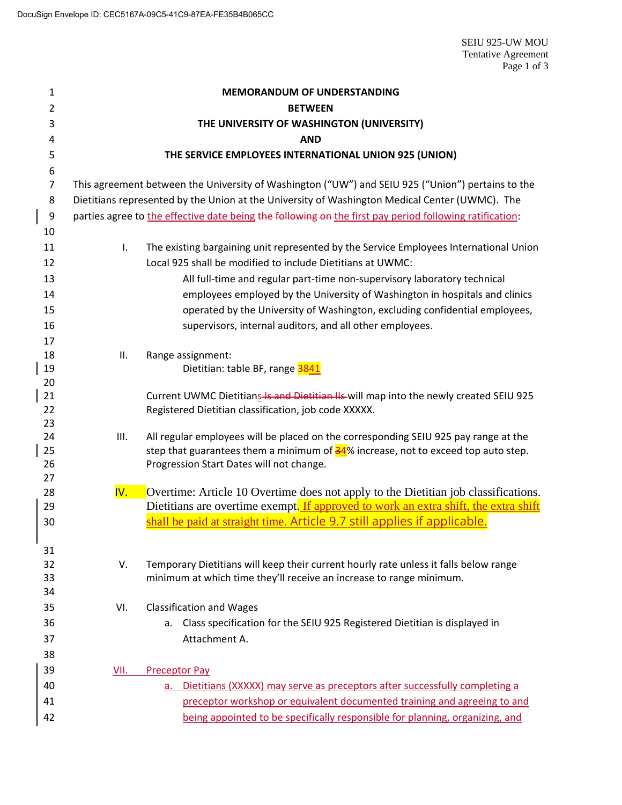| 1                | <b>MEMORANDUM OF UNDERSTANDING</b>                                                                      |                                                                                              |  |  |  |
|------------------|---------------------------------------------------------------------------------------------------------|----------------------------------------------------------------------------------------------|--|--|--|
| $\overline{2}$   | <b>BETWEEN</b>                                                                                          |                                                                                              |  |  |  |
| 3                | THE UNIVERSITY OF WASHINGTON (UNIVERSITY)                                                               |                                                                                              |  |  |  |
| 4                | <b>AND</b>                                                                                              |                                                                                              |  |  |  |
| 5                | THE SERVICE EMPLOYEES INTERNATIONAL UNION 925 (UNION)                                                   |                                                                                              |  |  |  |
| 6                |                                                                                                         |                                                                                              |  |  |  |
| $\overline{7}$   | This agreement between the University of Washington ("UW") and SEIU 925 ("Union") pertains to the       |                                                                                              |  |  |  |
| 8                | Dietitians represented by the Union at the University of Washington Medical Center (UWMC). The          |                                                                                              |  |  |  |
| $\boldsymbol{9}$ | parties agree to the effective date being the following on the first pay period following ratification: |                                                                                              |  |  |  |
| 10               |                                                                                                         |                                                                                              |  |  |  |
| 11               | I.                                                                                                      | The existing bargaining unit represented by the Service Employees International Union        |  |  |  |
| 12               |                                                                                                         | Local 925 shall be modified to include Dietitians at UWMC:                                   |  |  |  |
| 13               |                                                                                                         | All full-time and regular part-time non-supervisory laboratory technical                     |  |  |  |
| 14               |                                                                                                         | employees employed by the University of Washington in hospitals and clinics                  |  |  |  |
| 15               |                                                                                                         | operated by the University of Washington, excluding confidential employees,                  |  |  |  |
| 16               |                                                                                                         | supervisors, internal auditors, and all other employees.                                     |  |  |  |
| 17               |                                                                                                         |                                                                                              |  |  |  |
| 18               | ΙΙ.                                                                                                     | Range assignment:                                                                            |  |  |  |
| 19<br>20         |                                                                                                         | Dietitian: table BF, range 3841                                                              |  |  |  |
| 21               |                                                                                                         | Current UWMC Dietitians Is and Dietitian IIs will map into the newly created SEIU 925        |  |  |  |
| 22               |                                                                                                         | Registered Dietitian classification, job code XXXXX.                                         |  |  |  |
| 23               |                                                                                                         |                                                                                              |  |  |  |
| 24               | III.                                                                                                    | All regular employees will be placed on the corresponding SEIU 925 pay range at the          |  |  |  |
| 25               |                                                                                                         | step that guarantees them a minimum of $\frac{34}{8}$ increase, not to exceed top auto step. |  |  |  |
| 26               |                                                                                                         | Progression Start Dates will not change.                                                     |  |  |  |
| 27<br>28         | IV.                                                                                                     | Overtime: Article 10 Overtime does not apply to the Dietitian job classifications.           |  |  |  |
| 29               |                                                                                                         | Dietitians are overtime exempt. If approved to work an extra shift, the extra shift          |  |  |  |
| 30               |                                                                                                         | shall be paid at straight time. Article 9.7 still applies if applicable.                     |  |  |  |
|                  |                                                                                                         |                                                                                              |  |  |  |
| 31               |                                                                                                         |                                                                                              |  |  |  |
| 32               | V.                                                                                                      | Temporary Dietitians will keep their current hourly rate unless it falls below range         |  |  |  |
| 33               |                                                                                                         | minimum at which time they'll receive an increase to range minimum.                          |  |  |  |
| 34               |                                                                                                         |                                                                                              |  |  |  |
| 35               | VI.                                                                                                     | <b>Classification and Wages</b>                                                              |  |  |  |
| 36               |                                                                                                         | Class specification for the SEIU 925 Registered Dietitian is displayed in<br>а.              |  |  |  |
| 37               |                                                                                                         | Attachment A.                                                                                |  |  |  |
| 38               |                                                                                                         |                                                                                              |  |  |  |
| 39               | VII.                                                                                                    | <b>Preceptor Pay</b>                                                                         |  |  |  |
| 40               |                                                                                                         | Dietitians (XXXXX) may serve as preceptors after successfully completing a<br>а.             |  |  |  |
| 41               |                                                                                                         | preceptor workshop or equivalent documented training and agreeing to and                     |  |  |  |
| 42               |                                                                                                         | being appointed to be specifically responsible for planning, organizing, and                 |  |  |  |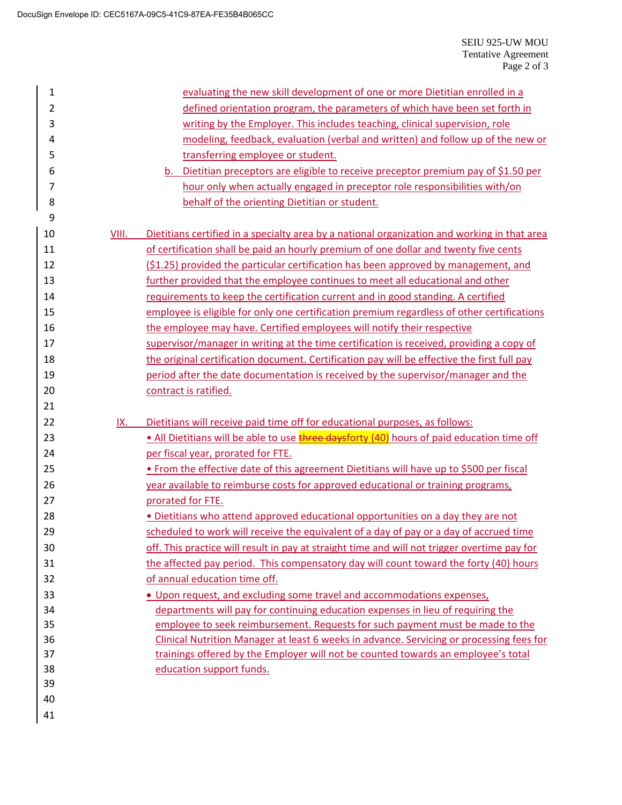| $\mathbf{1}$   |                                                                            | evaluating the new skill development of one or more Dietitian enrolled in a                  |  |
|----------------|----------------------------------------------------------------------------|----------------------------------------------------------------------------------------------|--|
| $\overline{2}$ |                                                                            | defined orientation program, the parameters of which have been set forth in                  |  |
| 3              |                                                                            | writing by the Employer. This includes teaching, clinical supervision, role                  |  |
| 4              |                                                                            | modeling, feedback, evaluation (verbal and written) and follow up of the new or              |  |
| 5              | transferring employee or student.                                          |                                                                                              |  |
| 6              |                                                                            | Dietitian preceptors are eligible to receive preceptor premium pay of \$1.50 per<br>b.       |  |
| 7              | hour only when actually engaged in preceptor role responsibilities with/on |                                                                                              |  |
| 8              |                                                                            | behalf of the orienting Dietitian or student.                                                |  |
| 9              |                                                                            |                                                                                              |  |
| 10             | VIII.                                                                      | Dietitians certified in a specialty area by a national organization and working in that area |  |
| 11             |                                                                            | of certification shall be paid an hourly premium of one dollar and twenty five cents         |  |
| 12             |                                                                            | (\$1.25) provided the particular certification has been approved by management, and          |  |
| 13             |                                                                            | further provided that the employee continues to meet all educational and other               |  |
| 14             |                                                                            | requirements to keep the certification current and in good standing. A certified             |  |
| 15             |                                                                            | employee is eligible for only one certification premium regardless of other certifications   |  |
| 16             |                                                                            | the employee may have. Certified employees will notify their respective                      |  |
| 17             |                                                                            | supervisor/manager in writing at the time certification is received, providing a copy of     |  |
| 18             |                                                                            | the original certification document. Certification pay will be effective the first full pay  |  |
| 19             |                                                                            | period after the date documentation is received by the supervisor/manager and the            |  |
| 20             | contract is ratified.                                                      |                                                                                              |  |
|                |                                                                            |                                                                                              |  |
| 21             |                                                                            |                                                                                              |  |
| 22             | IX.                                                                        | Dietitians will receive paid time off for educational purposes, as follows:                  |  |
| 23             |                                                                            | . All Dietitians will be able to use three daysforty (40) hours of paid education time off   |  |
| 24             |                                                                            | per fiscal year, prorated for FTE.                                                           |  |
| 25             |                                                                            | . From the effective date of this agreement Dietitians will have up to \$500 per fiscal      |  |
| 26             |                                                                            | year available to reimburse costs for approved educational or training programs,             |  |
| 27             |                                                                            | prorated for FTE.                                                                            |  |
| 28             |                                                                            | . Dietitians who attend approved educational opportunities on a day they are not             |  |
| 29             |                                                                            | scheduled to work will receive the equivalent of a day of pay or a day of accrued time       |  |
| 30             |                                                                            | off. This practice will result in pay at straight time and will not trigger overtime pay for |  |
| 31             |                                                                            | the affected pay period. This compensatory day will count toward the forty (40) hours        |  |
| 32             |                                                                            | of annual education time off.                                                                |  |
| 33             |                                                                            | . Upon request, and excluding some travel and accommodations expenses,                       |  |
| 34             |                                                                            | departments will pay for continuing education expenses in lieu of requiring the              |  |
| 35             |                                                                            | employee to seek reimbursement. Requests for such payment must be made to the                |  |
| 36             |                                                                            | Clinical Nutrition Manager at least 6 weeks in advance. Servicing or processing fees for     |  |
| 37             |                                                                            | trainings offered by the Employer will not be counted towards an employee's total            |  |
| 38             |                                                                            | education support funds.                                                                     |  |
| 39             |                                                                            |                                                                                              |  |
| 40             |                                                                            |                                                                                              |  |